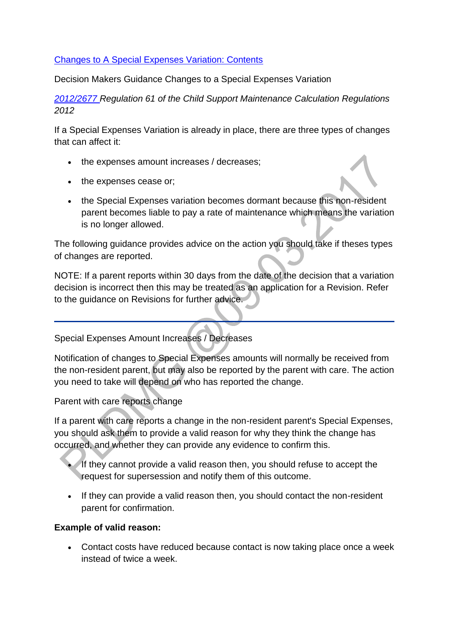#### [Changes to A Special Expenses Variation: Contents](http://np-cmg-sharepoint.link2.gpn.gov.uk/sites/policy-law-and-decision-making-guidance/Pages/Variations/Special%20Expenses/Changes-to-a-special-expenses-variation.aspx)

Decision Makers Guidance Changes to a Special Expenses Variation

*[2012/2677 R](http://www.legislation.gov.uk/uksi/2012/2677)egulation 61 of the Child Support Maintenance Calculation Regulations 2012*

If a Special Expenses Variation is already in place, there are three types of changes that can affect it:

- the expenses amount increases / decreases:
- the expenses cease or;
- the Special Expenses variation becomes dormant because this non-resident parent becomes liable to pay a rate of maintenance which means the variation is no longer allowed.

The following guidance provides advice on the action you should take if theses types of changes are reported.

NOTE: If a parent reports within 30 days from the date of the decision that a variation decision is incorrect then this may be treated as an application for a Revision. Refer to the guidance on Revisions for further advice.

Special Expenses Amount Increases / Decreases

Notification of changes to Special Expenses amounts will normally be received from the non-resident parent, but may also be reported by the parent with care. The action you need to take will depend on who has reported the change.

Parent with care reports change

If a parent with care reports a change in the non-resident parent's Special Expenses, you should ask them to provide a valid reason for why they think the change has occurred, and whether they can provide any evidence to confirm this.

- If they cannot provide a valid reason then, you should refuse to accept the request for supersession and notify them of this outcome.
- If they can provide a valid reason then, you should contact the non-resident parent for confirmation.

#### **Example of valid reason:**

 Contact costs have reduced because contact is now taking place once a week instead of twice a week.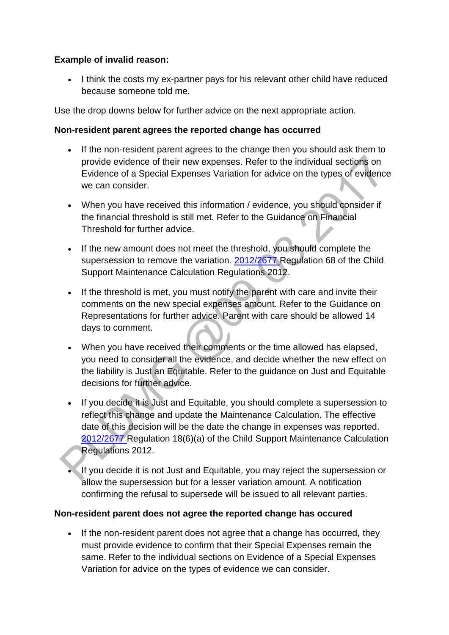#### **Example of invalid reason:**

• I think the costs my ex-partner pays for his relevant other child have reduced because someone told me.

Use the drop downs below for further advice on the next appropriate action.

## **Non-resident parent agrees the reported change has occurred**

- If the non-resident parent agrees to the change then you should ask them to provide evidence of their new expenses. Refer to the individual sections on Evidence of a Special Expenses Variation for advice on the types of evidence we can consider.
- When you have received this information / evidence, you should consider if the financial threshold is still met. Refer to the Guidance on Financial Threshold for further advice.
- If the new amount does not meet the threshold, you should complete the supersession to remove the variation. [2012/2677 R](http://www.legislation.gov.uk/uksi/2012/2677)egulation 68 of the Child Support Maintenance Calculation Regulations 2012.
- If the threshold is met, you must notify the parent with care and invite their comments on the new special expenses amount. Refer to the Guidance on Representations for further advice. Parent with care should be allowed 14 days to comment.
- When you have received their comments or the time allowed has elapsed, you need to consider all the evidence, and decide whether the new effect on the liability is Just an Equitable. Refer to the guidance on Just and Equitable decisions for further advice.
- If you decide it is Just and Equitable, you should complete a supersession to reflect this change and update the Maintenance Calculation. The effective date of this decision will be the date the change in expenses was reported. [2012/2677 R](http://www.legislation.gov.uk/uksi/2012/2677)egulation 18(6)(a) of the Child Support Maintenance Calculation Regulations 2012.
- If you decide it is not Just and Equitable, you may reject the supersession or allow the supersession but for a lesser variation amount. A notification confirming the refusal to supersede will be issued to all relevant parties.

# **Non-resident parent does not agree the reported change has occured**

• If the non-resident parent does not agree that a change has occurred, they must provide evidence to confirm that their Special Expenses remain the same. Refer to the individual sections on Evidence of a Special Expenses Variation for advice on the types of evidence we can consider.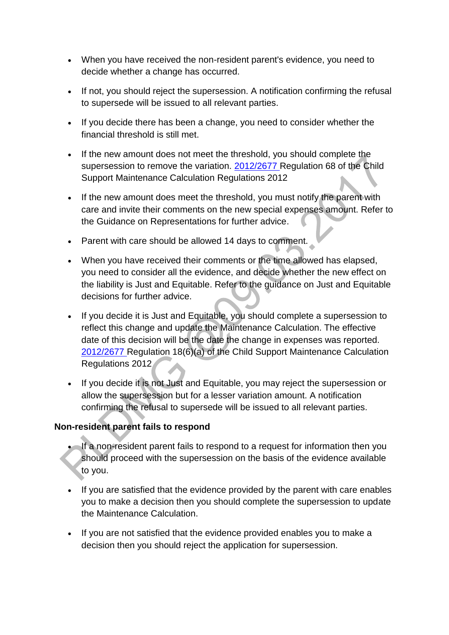- When you have received the non-resident parent's evidence, you need to decide whether a change has occurred.
- If not, you should reject the supersession. A notification confirming the refusal to supersede will be issued to all relevant parties.
- If you decide there has been a change, you need to consider whether the financial threshold is still met.
- If the new amount does not meet the threshold, you should complete the supersession to remove the variation. [2012/2677 R](http://www.legislation.gov.uk/uksi/2012/2677)egulation 68 of the Child Support Maintenance Calculation Regulations 2012
- If the new amount does meet the threshold, you must notify the parent with care and invite their comments on the new special expenses amount. Refer to the Guidance on Representations for further advice.
- Parent with care should be allowed 14 days to comment.
- When you have received their comments or the time allowed has elapsed, you need to consider all the evidence, and decide whether the new effect on the liability is Just and Equitable. Refer to the guidance on Just and Equitable decisions for further advice.
- If you decide it is Just and Equitable, you should complete a supersession to reflect this change and update the Maintenance Calculation. The effective date of this decision will be the date the change in expenses was reported. [2012/2677 R](http://www.legislation.gov.uk/uksi/2012/2677)egulation 18(6)(a) of the Child Support Maintenance Calculation Regulations 2012
- If you decide it is not Just and Equitable, you may reject the supersession or allow the supersession but for a lesser variation amount. A notification confirming the refusal to supersede will be issued to all relevant parties.

# **Non-resident parent fails to respond**

- If a non-resident parent fails to respond to a request for information then you should proceed with the supersession on the basis of the evidence available to you.
- If you are satisfied that the evidence provided by the parent with care enables you to make a decision then you should complete the supersession to update the Maintenance Calculation.
- If you are not satisfied that the evidence provided enables you to make a decision then you should reject the application for supersession.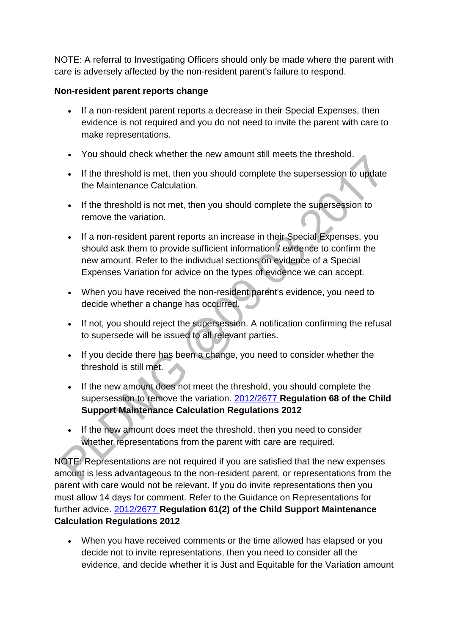NOTE: A referral to Investigating Officers should only be made where the parent with care is adversely affected by the non-resident parent's failure to respond.

## **Non-resident parent reports change**

- If a non-resident parent reports a decrease in their Special Expenses, then evidence is not required and you do not need to invite the parent with care to make representations.
- You should check whether the new amount still meets the threshold.
- If the threshold is met, then you should complete the supersession to update the Maintenance Calculation.
- If the threshold is not met, then you should complete the supersession to remove the variation.
- If a non-resident parent reports an increase in their Special Expenses, you should ask them to provide sufficient information / evidence to confirm the new amount. Refer to the individual sections on evidence of a Special Expenses Variation for advice on the types of evidence we can accept.
- When you have received the non-resident parent's evidence, you need to decide whether a change has occurred.
- If not, you should reject the supersession. A notification confirming the refusal to supersede will be issued to all relevant parties.
- If you decide there has been a change, you need to consider whether the threshold is still met.
- If the new amount does not meet the threshold, you should complete the supersession to remove the variation. [2012/2677](http://www.legislation.gov.uk/uksi/2012/2677) **Regulation 68 of the Child Support Maintenance Calculation Regulations 2012**
- If the new amount does meet the threshold, then you need to consider whether representations from the parent with care are required.

NOTE: Representations are not required if you are satisfied that the new expenses amount is less advantageous to the non-resident parent, or representations from the parent with care would not be relevant. If you do invite representations then you must allow 14 days for comment. Refer to the Guidance on Representations for further advice. [2012/2677](http://www.legislation.gov.uk/uksi/2012/2677) **Regulation 61(2) of the Child Support Maintenance Calculation Regulations 2012**

 When you have received comments or the time allowed has elapsed or you decide not to invite representations, then you need to consider all the evidence, and decide whether it is Just and Equitable for the Variation amount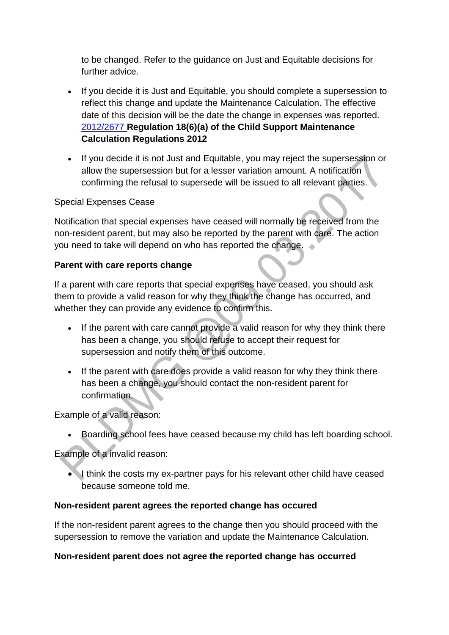to be changed. Refer to the guidance on Just and Equitable decisions for further advice.

- If you decide it is Just and Equitable, you should complete a supersession to reflect this change and update the Maintenance Calculation. The effective date of this decision will be the date the change in expenses was reported. [2012/2677](http://www.legislation.gov.uk/uksi/2012/2677) **Regulation 18(6)(a) of the Child Support Maintenance Calculation Regulations 2012**
- If you decide it is not Just and Equitable, you may reject the supersession or allow the supersession but for a lesser variation amount. A notification confirming the refusal to supersede will be issued to all relevant parties.

#### Special Expenses Cease

Notification that special expenses have ceased will normally be received from the non-resident parent, but may also be reported by the parent with care. The action you need to take will depend on who has reported the change.

#### **Parent with care reports change**

If a parent with care reports that special expenses have ceased, you should ask them to provide a valid reason for why they think the change has occurred, and whether they can provide any evidence to confirm this.

- If the parent with care cannot provide a valid reason for why they think there has been a change, you should refuse to accept their request for supersession and notify them of this outcome.
- If the parent with care does provide a valid reason for why they think there has been a change, you should contact the non-resident parent for confirmation.

Example of a valid reason:

Boarding school fees have ceased because my child has left boarding school.

Example of a invalid reason:

I think the costs my ex-partner pays for his relevant other child have ceased because someone told me.

#### **Non-resident parent agrees the reported change has occured**

If the non-resident parent agrees to the change then you should proceed with the supersession to remove the variation and update the Maintenance Calculation.

#### **Non-resident parent does not agree the reported change has occurred**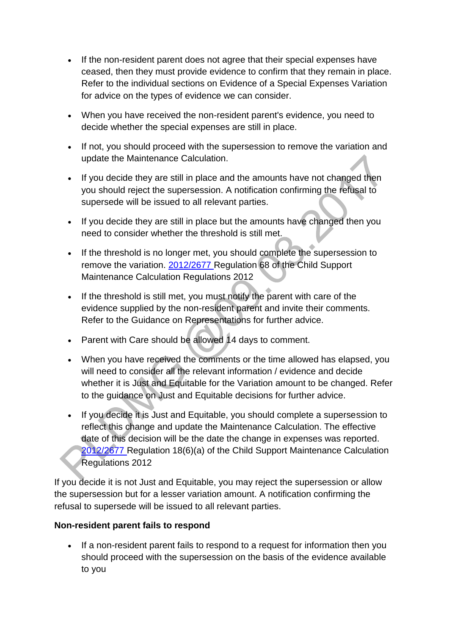- If the non-resident parent does not agree that their special expenses have ceased, then they must provide evidence to confirm that they remain in place. Refer to the individual sections on Evidence of a Special Expenses Variation for advice on the types of evidence we can consider.
- When you have received the non-resident parent's evidence, you need to decide whether the special expenses are still in place.
- If not, you should proceed with the supersession to remove the variation and update the Maintenance Calculation.
- If you decide they are still in place and the amounts have not changed then you should reject the supersession. A notification confirming the refusal to supersede will be issued to all relevant parties.
- If you decide they are still in place but the amounts have changed then you need to consider whether the threshold is still met.
- If the threshold is no longer met, you should complete the supersession to remove the variation. [2012/2677 R](http://www.legislation.gov.uk/uksi/2012/2677)egulation 68 of the Child Support Maintenance Calculation Regulations 2012
- If the threshold is still met, you must notify the parent with care of the evidence supplied by the non-resident parent and invite their comments. Refer to the Guidance on Representations for further advice.
- Parent with Care should be allowed 14 days to comment.
- When you have received the comments or the time allowed has elapsed, you will need to consider all the relevant information / evidence and decide whether it is Just and Equitable for the Variation amount to be changed. Refer to the guidance on Just and Equitable decisions for further advice.
- If you decide it is Just and Equitable, you should complete a supersession to reflect this change and update the Maintenance Calculation. The effective date of this decision will be the date the change in expenses was reported. [2012/2677 R](http://www.legislation.gov.uk/uksi/2012/2677)egulation 18(6)(a) of the Child Support Maintenance Calculation Regulations 2012

If you decide it is not Just and Equitable, you may reject the supersession or allow the supersession but for a lesser variation amount. A notification confirming the refusal to supersede will be issued to all relevant parties.

# **Non-resident parent fails to respond**

 If a non-resident parent fails to respond to a request for information then you should proceed with the supersession on the basis of the evidence available to you